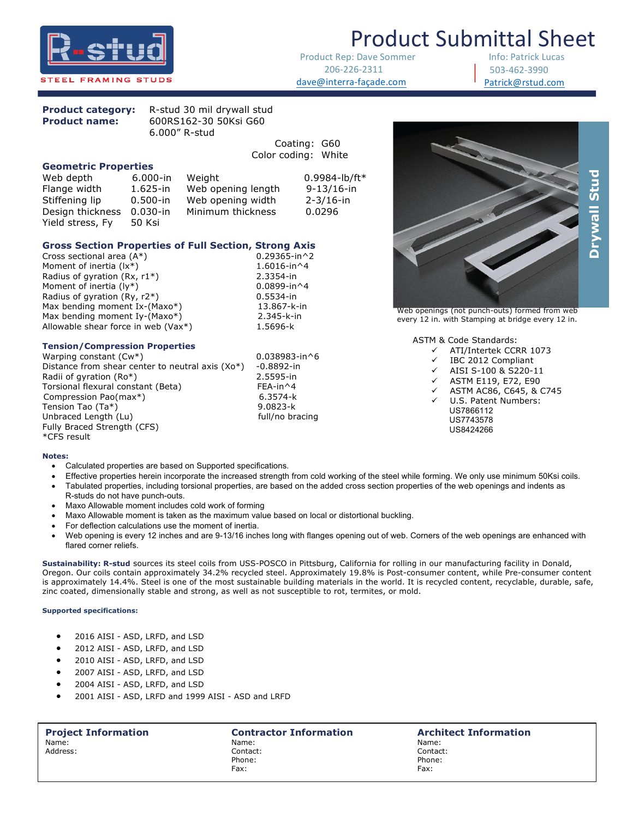

Product Rep: Dave Sommer 206-226-2311 dave@interra-façade.com

Info: Patrick Lucas 503-462-3990 Patrick@rstud.com



| <b>Product category:</b> | R-stud 30 mil drywall stud |
|--------------------------|----------------------------|
| <b>Product name:</b>     | 600RS162-30 50Ksi G60      |
|                          | $6.000''$ R-stud           |

|                             |              |                    | Codung: GOU         |
|-----------------------------|--------------|--------------------|---------------------|
|                             |              |                    | Color coding: White |
| <b>Geometric Properties</b> |              |                    |                     |
| Web depth                   | 6.000 in     | Weight             | $0.9984 - lb/ft*$   |
| Flange width                | $1.625$ -in  | Web opening length | $9 - 13/16 - in$    |
| Stiffening lip              | $0.500 - in$ | Web opening width  | $2 - 3/16 - in$     |
| Design thickness            | $0.030 - in$ | Minimum thickness  | 0.0296              |
| Yield stress, Fy            | 50 Ksi       |                    |                     |

## **Gross Section Properties of Full Section, Strong Axis** Cross sectional area (A\*) 0.29365-in^2

Cross sectional area  $(A^*)$ Moment of inertia  $(lx^*)$ <br>
Radius of gyration  $(Rx, r1^*)$ <br>
2.3354-in Radius of gyration (Rx,  $r1^*$ ) Moment of inertia  $(\forall)^*$  0.0899-in^4 Radius of gyration (Ry, r2\*) 6.5534-in<br>
Max bending moment Ix-(Maxo\*) 6.65534-in Max bending moment Ix-(Maxo\*) Max bending moment Iy-(Maxo\*) 2.345-k-in Allowable shear force in web  $(Vax^*)$  1.5696-k

### **Tension/Compression Properties**

Warping constant  $(Cw^*)$  0.038983-in^6 Distance from shear center to neutral axis (Xo\*) -0.8892-in Radii of gyration (Ro\*) 2.5595-in Torsional flexural constant (Beta)<br>
Compression Pao(max\*) 6.3574-k Compression Pao(max\*) Tension Tao (Ta\*) 9.0823-k Unbraced Length (Lu) full/no bracing Fully Braced Strength (CFS) \*CFS result

 

coating: G60



Web openings (not punch-outs) formed from web every 12 in. with Stamping at bridge every 12 in.

ASTM & Code Standards:

- ü ATI/Intertek CCRR 1073
- $\checkmark$  IBC 2012 Compliant
- ü AISI S-100 & S220-11
- ü ASTM E119, E72, E90
- ü ASTM AC86, C645, & C745
- ü U.S. Patent Numbers:
	- US7866112 US7743578 US8424266

### **Notes:**

- Calculated properties are based on Supported specifications.
- Effective properties herein incorporate the increased strength from cold working of the steel while forming. We only use minimum 50Ksi coils.
- Tabulated properties, including torsional properties, are based on the added cross section properties of the web openings and indents as R-studs do not have punch-outs.
- Maxo Allowable moment includes cold work of forming
- Maxo Allowable moment is taken as the maximum value based on local or distortional buckling.
- For deflection calculations use the moment of inertia.
- Web opening is every 12 inches and are 9-13/16 inches long with flanges opening out of web. Corners of the web openings are enhanced with flared corner reliefs.

**Sustainability: R-stud** sources its steel coils from USS-POSCO in Pittsburg, California for rolling in our manufacturing facility in Donald, Oregon. Our coils contain approximately 34.2% recycled steel. Approximately 19.8% is Post-consumer content, while Pre-consumer content is approximately 14.4%. Steel is one of the most sustainable building materials in the world. It is recycled content, recyclable, durable, safe, zinc coated, dimensionally stable and strong, as well as not susceptible to rot, termites, or mold.

### **Supported specifications:**

- 2016 AISI ASD, LRFD, and LSD
- 2012 AISI ASD, LRFD, and LSD
- 2010 AISI ASD, LRFD, and LSD
- 2007 AISI ASD, LRFD, and LSD
- 2004 AISI ASD, LRFD, and LSD
- 2001 AISI ASD, LRFD and 1999 AISI ASD and LRFD

## Name: Name: Name:

Address: Contact: Contact: Phone: Phone: Phone: Phone: Phone: Phone: Phone: Phone: Phone: Phone: Phone: Phone: Phone: Phone: Phone: Phone: Phone: Phone: Phone: Phone: Phone: Phone: Phone: Phone: Phone: Phone: Phone: Phone: Phone: Phone: Phone: Phone Fax: Fax:

# **Project Information**<br> **Name: Name: Name: Name: Name: Name: Name: Name: Name: Name: Name: Name:**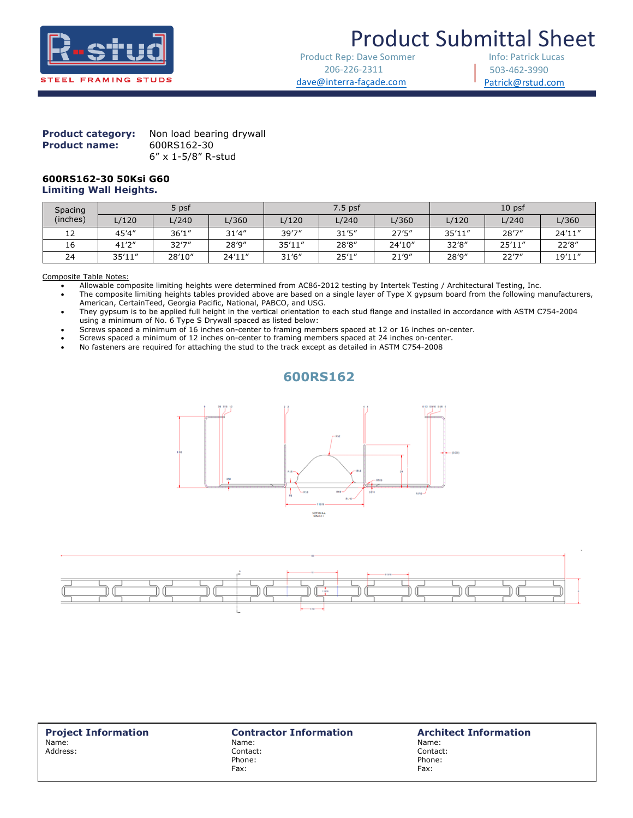

## **Product Submittal Sheet**

Product Rep: Dave Sommer 206-226-2311 dave@interra-façade.com

Info: Patrick Lucas 503-462-3990 Patrick@rstud.com

### **Product category:** Non load bearing drywall **Product name:** 600RS162-30 6" x 1-5/8" R-stud

### **600RS162-30 50Ksi G60 Limiting Wall Heights.**

| Spacing<br>(inches) | 5 psf   |        | $7.5$ psf |        |        | 10 <sub>psf</sub> |        |        |        |
|---------------------|---------|--------|-----------|--------|--------|-------------------|--------|--------|--------|
|                     | L/120   | L/240  | L/360     | L/120  | L/240  | L/360             | L/120  | L/240  | L/360  |
| 12                  | 45'4"   | 36'1'' | 31'4''    | 39'7'' | 31'5'' | 27'5''            | 35'11" | 28'7"  | 24'11" |
| 16                  | 41'2''  | 32'7'' | 28'9"     | 35'11" | 28'8"  | 24'10"            | 32'8"  | 25'11" | 22'8"  |
| 24                  | 35'11'' | 28'10" | 24'11"    | 31'6'' | 25'1'' | 21'9''            | 28'9"  | 22'7'' | 19'11" |

Composite Table Notes:

• Allowable composite limiting heights were determined from AC86-2012 testing by Intertek Testing / Architectural Testing, Inc.

 

• The composite limiting heights tables provided above are based on a single layer of Type X gypsum board from the following manufacturers, American, CertainTeed, Georgia Pacific, National, PABCO, and USG.

• They gypsum is to be applied full height in the vertical orientation to each stud flange and installed in accordance with ASTM C754-2004 using a minimum of No. 6 Type S Drywall spaced as listed below:

• Screws spaced a minimum of 16 inches on-center to framing members spaced at 12 or 16 inches on-center.

• Screws spaced a minimum of 12 inches on-center to framing members spaced at 24 inches on-center.

• No fasteners are required for attaching the stud to the track except as detailed in ASTM C754-2008

### **600RS162**





**Project Information**<br>
Name: **Name:** Name: **Name:** Name: **Name: Name: Name: Name: Name: Name: Name:** Name: Name: Name: Address: Contact: Contact: Phone: Phone: Phone: Phone: Phone: Phone: Phone: Phone: Phone: Phone: Phone: Phone: Phone: Phone: Phone: Phone: Phone: Phone: Phone: Phone: Phone: Phone: Phone: Phone: Phone: Phone: Phone: Phone: Phone: Phone: Phone: Phone

Fax: Fax: